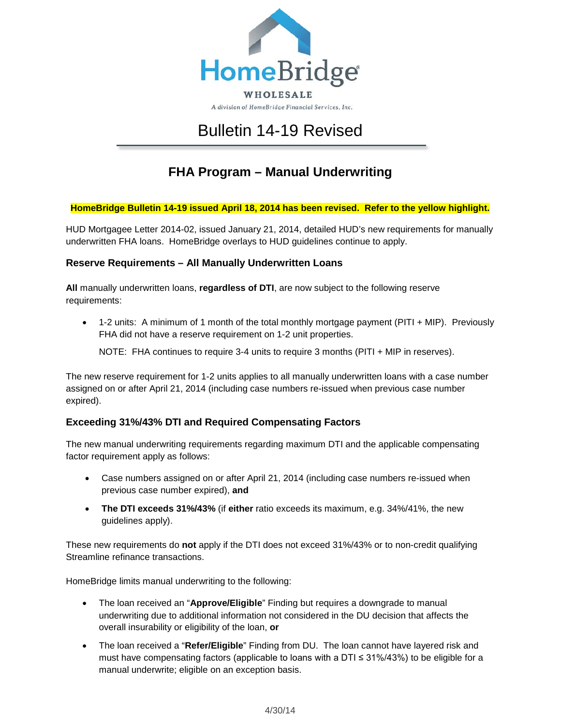

# Bulletin 14-19 Revised

# **FHA Program – Manual Underwriting**

#### **HomeBridge Bulletin 14-19 issued April 18, 2014 has been revised. Refer to the yellow highlight.**

HUD Mortgagee Letter 2014-02, issued January 21, 2014, detailed HUD's new requirements for manually underwritten FHA loans. HomeBridge overlays to HUD guidelines continue to apply.

#### **Reserve Requirements – All Manually Underwritten Loans**

**All** manually underwritten loans, **regardless of DTI**, are now subject to the following reserve requirements:

• 1-2 units: A minimum of 1 month of the total monthly mortgage payment (PITI + MIP). Previously FHA did not have a reserve requirement on 1-2 unit properties.

NOTE: FHA continues to require 3-4 units to require 3 months (PITI + MIP in reserves).

The new reserve requirement for 1-2 units applies to all manually underwritten loans with a case number assigned on or after April 21, 2014 (including case numbers re-issued when previous case number expired).

#### **Exceeding 31%/43% DTI and Required Compensating Factors**

The new manual underwriting requirements regarding maximum DTI and the applicable compensating factor requirement apply as follows:

- Case numbers assigned on or after April 21, 2014 (including case numbers re-issued when previous case number expired), **and**
- **The DTI exceeds 31%/43%** (if **either** ratio exceeds its maximum, e.g. 34%/41%, the new guidelines apply).

These new requirements do **not** apply if the DTI does not exceed 31%/43% or to non-credit qualifying Streamline refinance transactions.

HomeBridge limits manual underwriting to the following:

- The loan received an "**Approve/Eligible**" Finding but requires a downgrade to manual underwriting due to additional information not considered in the DU decision that affects the overall insurability or eligibility of the loan, **or**
- The loan received a "**Refer/Eligible**" Finding from DU. The loan cannot have layered risk and must have compensating factors (applicable to loans with a  $DTI \leq 31\%/43\%$ ) to be eligible for a manual underwrite; eligible on an exception basis.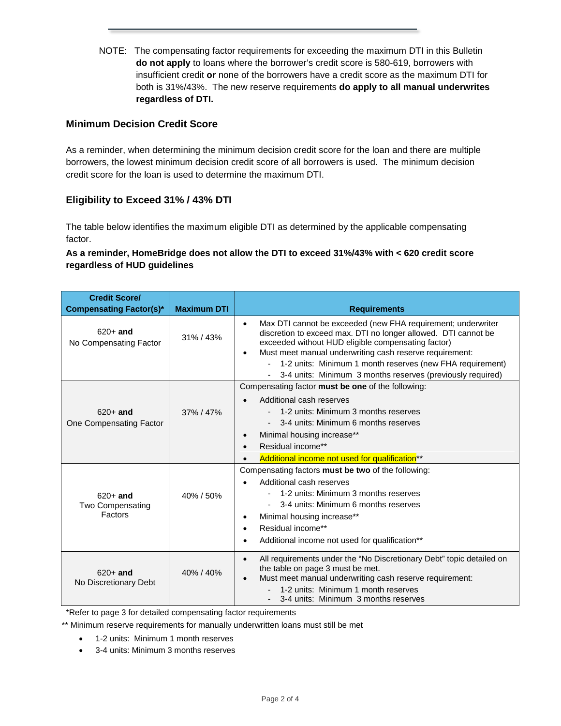NOTE: The compensating factor requirements for exceeding the maximum DTI in this Bulletin **do not apply** to loans where the borrower's credit score is 580-619, borrowers with insufficient credit **or** none of the borrowers have a credit score as the maximum DTI for both is 31%/43%. The new reserve requirements **do apply to all manual underwrites regardless of DTI.**

#### **Minimum Decision Credit Score**

As a reminder, when determining the minimum decision credit score for the loan and there are multiple borrowers, the lowest minimum decision credit score of all borrowers is used. The minimum decision credit score for the loan is used to determine the maximum DTI.

#### **Eligibility to Exceed 31% / 43% DTI**

The table below identifies the maximum eligible DTI as determined by the applicable compensating factor.

#### **As a reminder, HomeBridge does not allow the DTI to exceed 31%/43% with < 620 credit score regardless of HUD guidelines**

| <b>Credit Score/</b><br><b>Compensating Factor(s)*</b>                    | <b>Maximum DTI</b> | <b>Requirements</b>                                                                                                                                                                                                                                                                                                                                                                                  |
|---------------------------------------------------------------------------|--------------------|------------------------------------------------------------------------------------------------------------------------------------------------------------------------------------------------------------------------------------------------------------------------------------------------------------------------------------------------------------------------------------------------------|
| $620+$ and<br>No Compensating Factor                                      | $31\% / 43\%$      | Max DTI cannot be exceeded (new FHA requirement; underwriter<br>$\bullet$<br>discretion to exceed max. DTI no longer allowed. DTI cannot be<br>exceeded without HUD eligible compensating factor)<br>Must meet manual underwriting cash reserve requirement:<br>$\bullet$<br>1-2 units: Minimum 1 month reserves (new FHA requirement)<br>3-4 units: Minimum 3 months reserves (previously required) |
| $620+$ and<br>One Compensating Factor                                     | 37% / 47%          | Compensating factor must be one of the following:<br>Additional cash reserves<br>1-2 units: Minimum 3 months reserves<br>3-4 units: Minimum 6 months reserves<br>Minimal housing increase**<br>Residual income**<br>$\bullet$<br>Additional income not used for qualification <sup>**</sup>                                                                                                          |
| $620+$ and<br>Two Compensating<br>Factors                                 | 40% / 50%          | Compensating factors must be two of the following:<br>Additional cash reserves<br>1-2 units: Minimum 3 months reserves<br>3-4 units: Minimum 6 months reserves<br>Minimal housing increase**<br>$\bullet$<br>Residual income**<br>$\bullet$<br>Additional income not used for qualification**                                                                                                        |
| $620+$ and<br>No Discretionary Debt<br>$\sim$ $\sim$ $\sim$ $\sim$ $\sim$ | 40% / 40%          | All requirements under the "No Discretionary Debt" topic detailed on<br>$\bullet$<br>the table on page 3 must be met.<br>Must meet manual underwriting cash reserve requirement:<br>1-2 units: Minimum 1 month reserves<br>3-4 units: Minimum 3 months reserves                                                                                                                                      |

\*Refer to page 3 for detailed compensating factor requirements

\*\* Minimum reserve requirements for manually underwritten loans must still be met

- 1-2 units: Minimum 1 month reserves
- 3-4 units: Minimum 3 months reserves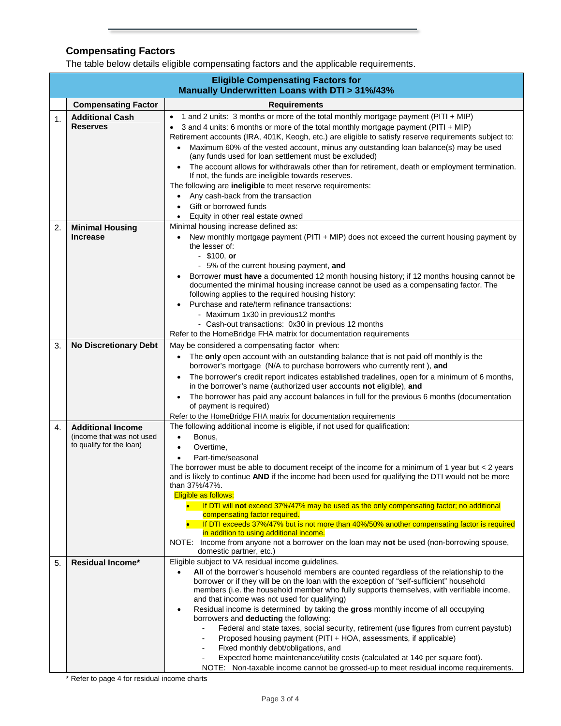## **Compensating Factors**

The table below details eligible compensating factors and the applicable requirements.

|                | <b>Eligible Compensating Factors for</b><br>Manually Underwritten Loans with DTI > 31%/43% |                                                                                                                                                                                                                                                                                                                                     |  |  |  |
|----------------|--------------------------------------------------------------------------------------------|-------------------------------------------------------------------------------------------------------------------------------------------------------------------------------------------------------------------------------------------------------------------------------------------------------------------------------------|--|--|--|
|                | <b>Compensating Factor</b>                                                                 | <b>Requirements</b>                                                                                                                                                                                                                                                                                                                 |  |  |  |
| $\mathbf{1}$ . | <b>Additional Cash</b><br><b>Reserves</b>                                                  | 1 and 2 units: 3 months or more of the total monthly mortgage payment (PITI + MIP)<br>$\bullet$<br>3 and 4 units: 6 months or more of the total monthly mortgage payment (PITI + MIP)<br>Retirement accounts (IRA, 401K, Keogh, etc.) are eligible to satisfy reserve requirements subject to:                                      |  |  |  |
|                |                                                                                            | Maximum 60% of the vested account, minus any outstanding loan balance(s) may be used<br>$\bullet$<br>(any funds used for loan settlement must be excluded)                                                                                                                                                                          |  |  |  |
|                |                                                                                            | The account allows for withdrawals other than for retirement, death or employment termination.<br>If not, the funds are ineligible towards reserves.<br>The following are ineligible to meet reserve requirements:                                                                                                                  |  |  |  |
|                |                                                                                            | Any cash-back from the transaction<br>$\bullet$                                                                                                                                                                                                                                                                                     |  |  |  |
|                |                                                                                            | Gift or borrowed funds                                                                                                                                                                                                                                                                                                              |  |  |  |
|                |                                                                                            | Equity in other real estate owned                                                                                                                                                                                                                                                                                                   |  |  |  |
| 2.             | <b>Minimal Housing</b>                                                                     | Minimal housing increase defined as:                                                                                                                                                                                                                                                                                                |  |  |  |
|                | <b>Increase</b>                                                                            | New monthly mortgage payment (PITI + MIP) does not exceed the current housing payment by<br>٠<br>the lesser of:<br>$-$ \$100, or                                                                                                                                                                                                    |  |  |  |
|                |                                                                                            | - 5% of the current housing payment, and                                                                                                                                                                                                                                                                                            |  |  |  |
|                |                                                                                            | Borrower must have a documented 12 month housing history; if 12 months housing cannot be<br>$\bullet$                                                                                                                                                                                                                               |  |  |  |
|                |                                                                                            | documented the minimal housing increase cannot be used as a compensating factor. The<br>following applies to the required housing history:                                                                                                                                                                                          |  |  |  |
|                |                                                                                            | Purchase and rate/term refinance transactions:                                                                                                                                                                                                                                                                                      |  |  |  |
|                |                                                                                            | - Maximum 1x30 in previous12 months                                                                                                                                                                                                                                                                                                 |  |  |  |
|                |                                                                                            | - Cash-out transactions: 0x30 in previous 12 months                                                                                                                                                                                                                                                                                 |  |  |  |
|                |                                                                                            | Refer to the HomeBridge FHA matrix for documentation requirements                                                                                                                                                                                                                                                                   |  |  |  |
| 3.             | <b>No Discretionary Debt</b>                                                               | May be considered a compensating factor when:                                                                                                                                                                                                                                                                                       |  |  |  |
|                |                                                                                            | The only open account with an outstanding balance that is not paid off monthly is the<br>$\bullet$<br>borrower's mortgage (N/A to purchase borrowers who currently rent), and                                                                                                                                                       |  |  |  |
|                |                                                                                            | The borrower's credit report indicates established tradelines, open for a minimum of 6 months,<br>$\bullet$<br>in the borrower's name (authorized user accounts not eligible), and                                                                                                                                                  |  |  |  |
|                |                                                                                            | The borrower has paid any account balances in full for the previous 6 months (documentation<br>$\bullet$<br>of payment is required)                                                                                                                                                                                                 |  |  |  |
|                |                                                                                            | Refer to the HomeBridge FHA matrix for documentation requirements                                                                                                                                                                                                                                                                   |  |  |  |
| 4.             | <b>Additional Income</b><br>(income that was not used                                      | The following additional income is eligible, if not used for qualification:<br>Bonus,<br>$\bullet$                                                                                                                                                                                                                                  |  |  |  |
|                | to qualify for the loan)                                                                   | Overtime,<br>$\bullet$                                                                                                                                                                                                                                                                                                              |  |  |  |
|                |                                                                                            | Part-time/seasonal<br>$\bullet$                                                                                                                                                                                                                                                                                                     |  |  |  |
|                |                                                                                            | The borrower must be able to document receipt of the income for a minimum of 1 year but < 2 years<br>and is likely to continue AND if the income had been used for qualifying the DTI would not be more<br>than 37%/47%.                                                                                                            |  |  |  |
|                |                                                                                            | Eligible as follows:                                                                                                                                                                                                                                                                                                                |  |  |  |
|                |                                                                                            | If DTI will not exceed 37%/47% may be used as the only compensating factor; no additional                                                                                                                                                                                                                                           |  |  |  |
|                |                                                                                            | compensating factor required.                                                                                                                                                                                                                                                                                                       |  |  |  |
|                |                                                                                            | If DTI exceeds 37%/47% but is not more than 40%/50% another compensating factor is required<br>in addition to using additional income.                                                                                                                                                                                              |  |  |  |
|                |                                                                                            | NOTE: Income from anyone not a borrower on the loan may not be used (non-borrowing spouse,<br>domestic partner, etc.)                                                                                                                                                                                                               |  |  |  |
| 5.             | <b>Residual Income*</b>                                                                    | Eligible subject to VA residual income guidelines.                                                                                                                                                                                                                                                                                  |  |  |  |
|                |                                                                                            | All of the borrower's household members are counted regardless of the relationship to the<br>borrower or if they will be on the loan with the exception of "self-sufficient" household<br>members (i.e. the household member who fully supports themselves, with verifiable income,<br>and that income was not used for qualifying) |  |  |  |
|                |                                                                                            | Residual income is determined by taking the gross monthly income of all occupying<br>$\bullet$<br>borrowers and deducting the following:                                                                                                                                                                                            |  |  |  |
|                |                                                                                            | Federal and state taxes, social security, retirement (use figures from current paystub)                                                                                                                                                                                                                                             |  |  |  |
|                |                                                                                            | Proposed housing payment (PITI + HOA, assessments, if applicable)<br>Fixed monthly debt/obligations, and                                                                                                                                                                                                                            |  |  |  |
|                |                                                                                            | Expected home maintenance/utility costs (calculated at 14¢ per square foot).                                                                                                                                                                                                                                                        |  |  |  |
|                |                                                                                            | NOTE: Non-taxable income cannot be grossed-up to meet residual income requirements.                                                                                                                                                                                                                                                 |  |  |  |

\* Refer to page 4 for residual income charts